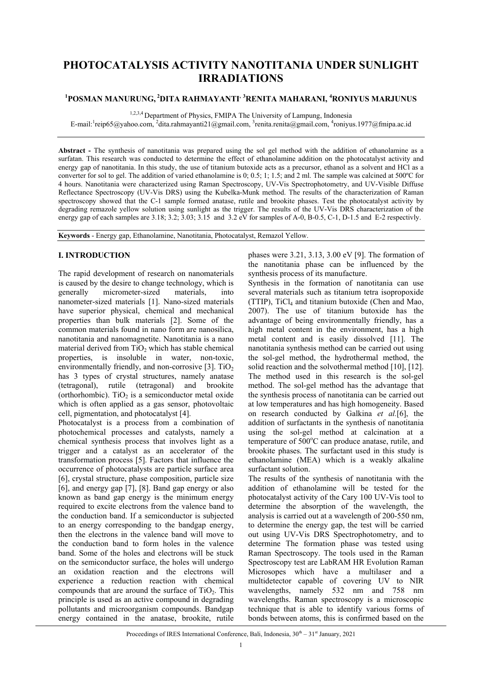# **PHOTOCATALYSIS ACTIVITY NANOTITANIA UNDER SUNLIGHT IRRADIATIONS**

# **1 POSMAN MANURUNG, 2DITA RAHMAYANTI, <sup>3</sup> RENITA MAHARANI, <sup>4</sup> RONIYUS MARJUNUS**

1,2,3,4 Department of Physics, FMIPA The University of Lampung, Indonesia

E-mail: reip65@yahoo.com, <sup>2</sup>dita.rahmayanti21@gmail.com, <sup>3</sup>renita.renita@gmail.com, <sup>4</sup>roniyus.1977@fmipa.ac.id

**Abstract -** The synthesis of nanotitania was prepared using the sol gel method with the addition of ethanolamine as a surfatan. This research was conducted to determine the effect of ethanolamine addition on the photocatalyst activity and energy gap of nanotitania. In this study, the use of titanium butoxide acts as a precursor, ethanol as a solvent and HCl as a converter for sol to gel. The addition of varied ethanolamine is 0; 0.5; 1; 1.5; and 2 ml. The sample was calcined at 500ºC for 4 hours. Nanotitania were characterized using Raman Spectroscopy, UV-Vis Spectrophotometry, and UV-Visible Diffuse Reflectance Spectroscopy (UV-Vis DRS) using the Kubelka-Munk method. The results of the characterization of Raman spectroscopy showed that the C-1 sample formed anatase, rutile and brookite phases. Test the photocatalyst activity by degrading remazole yellow solution using sunlight as the trigger. The results of the UV-Vis DRS characterization of the energy gap of each samples are 3.18; 3.2; 3.03; 3.15 and 3.2 eV for samples of A-0, B-0.5, C-1, D-1.5 and E-2 respectivly.

**Keywords** - Energy gap, Ethanolamine, Nanotitania, Photocatalyst, Remazol Yellow.

# **I. INTRODUCTION**

The rapid development of research on nanomaterials is caused by the desire to change technology, which is generally micrometer-sized materials, into nanometer-sized materials [1]. Nano-sized materials have superior physical, chemical and mechanical properties than bulk materials [2]. Some of the common materials found in nano form are nanosilica, nanotitania and nanomagnetite. Nanotitania is a nano material derived from  $TiO<sub>2</sub>$  which has stable chemical properties, is insoluble in water, non-toxic, environmentally friendly, and non-corrosive [3].  $TiO<sub>2</sub>$ has 3 types of crystal structures, namely anatase (tetragonal), rutile (tetragonal) and brookite (orthorhombic). TiO<sub>2</sub> is a semiconductor metal oxide which is often applied as a gas sensor, photovoltaic cell, pigmentation, and photocatalyst [4].

Photocatalyst is a process from a combination of photochemical processes and catalysts, namely a chemical synthesis process that involves light as a trigger and a catalyst as an accelerator of the transformation process [5]. Factors that influence the occurrence of photocatalysts are particle surface area [6], crystal structure, phase composition, particle size [6], and energy gap [7], [8]. Band gap energy or also known as band gap energy is the minimum energy required to excite electrons from the valence band to the conduction band. If a semiconductor is subjected to an energy corresponding to the bandgap energy, then the electrons in the valence band will move to the conduction band to form holes in the valence band. Some of the holes and electrons will be stuck on the semiconductor surface, the holes will undergo an oxidation reaction and the electrons will experience a reduction reaction with chemical compounds that are around the surface of  $TiO<sub>2</sub>$ . This principle is used as an active compound in degrading pollutants and microorganism compounds. Bandgap energy contained in the anatase, brookite, rutile

phases were 3.21, 3.13, 3.00 eV [9]. The formation of the nanotitania phase can be influenced by the synthesis process of its manufacture.

Synthesis in the formation of nanotitania can use several materials such as titanium tetra isopropoxide (TTIP), TiCl4 and titanium butoxide (Chen and Mao, 2007). The use of titanium butoxide has the advantage of being environmentally friendly, has a high metal content in the environment, has a high metal content and is easily dissolved [11]. The nanotitania synthesis method can be carried out using the sol-gel method, the hydrothermal method, the solid reaction and the solvothermal method [10], [12]. The method used in this research is the sol-gel method. The sol-gel method has the advantage that the synthesis process of nanotitania can be carried out at low temperatures and has high homogeneity. Based on research conducted by Galkina *et al.*[6], the addition of surfactants in the synthesis of nanotitania using the sol-gel method at calcination at a temperature of 500°C can produce anatase, rutile, and brookite phases. The surfactant used in this study is ethanolamine (MEA) which is a weakly alkaline surfactant solution.

The results of the synthesis of nanotitania with the addition of ethanolamine will be tested for the photocatalyst activity of the Cary 100 UV-Vis tool to determine the absorption of the wavelength, the analysis is carried out at a wavelength of 200-550 nm, to determine the energy gap, the test will be carried out using UV-Vis DRS Spectrophotometry, and to determine The formation phase was tested using Raman Spectroscopy. The tools used in the Raman Spectroscopy test are LabRAM HR Evolution Raman Microsopes which have a multilaser and a multidetector capable of covering UV to NIR wavelengths, namely 532 nm and 758 nm wavelengths. Raman spectroscopy is a microscopic technique that is able to identify various forms of bonds between atoms, this is confirmed based on the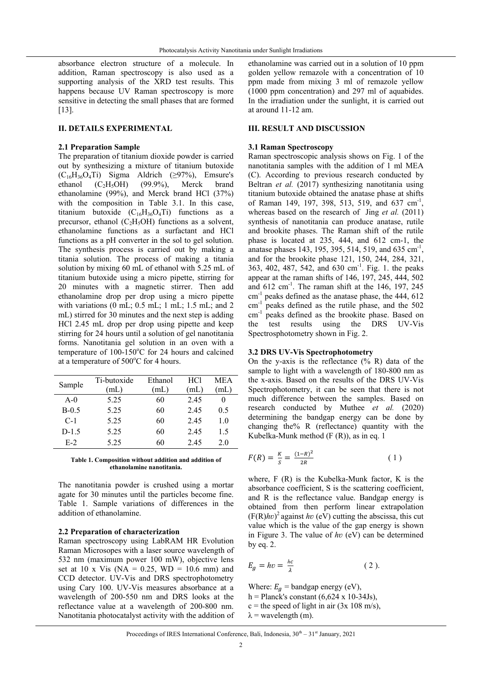absorbance electron structure of a molecule. In addition, Raman spectroscopy is also used as a supporting analysis of the XRD test results. This happens because UV Raman spectroscopy is more sensitive in detecting the small phases that are formed [13].

## **II. DETAILS EXPERIMENTAL**

### **2.1 Preparation Sample**

The preparation of titanium dioxide powder is carried out by synthesizing a mixture of titanium butoxide  $(C_{16}H_{36}O_4Ti)$  Sigma Aldrich (≥97%), Emsure's<br>ethanol (C<sub>2</sub>H<sub>5</sub>OH) (99.9%), Merck brand ethanol  $(C_2H_5OH)$  (99.9%), Merck brand ethanolamine (99%), and Merck brand HCl (37%) with the composition in Table 3.1. In this case, titanium butoxide  $(C_{16}H_{36}O_4T_i)$  functions as a precursor, ethanol ( $C_2H_5OH$ ) functions as a solvent, ethanolamine functions as a surfactant and HCl functions as a pH converter in the sol to gel solution. The synthesis process is carried out by making a titania solution. The process of making a titania solution by mixing 60 mL of ethanol with 5.25 mL of titanium butoxide using a micro pipette, stirring for 20 minutes with a magnetic stirrer. Then add ethanolamine drop per drop using a micro pipette with variations (0 mL; 0.5 mL; 1 mL; 1.5 mL; and 2 mL) stirred for 30 minutes and the next step is adding HCl 2.45 mL drop per drop using pipette and keep stirring for 24 hours until a solution of gel nanotitania forms. Nanotitania gel solution in an oven with a temperature of  $100-150^{\circ}$ C for 24 hours and calcined at a temperature of  $500^{\circ}$ C for 4 hours.

| Sample  | Ti-butoxide | Ethanol | HCl  | MEA |
|---------|-------------|---------|------|-----|
|         | (mL)        | (mL)    | (mL) | mL  |
| $A-0$   | 5.25        | 60      | 2.45 |     |
| $B-0.5$ | 5.25        | 60      | 2.45 | 0.5 |
| $C-1$   | 5.25        | 60      | 2.45 | 1.0 |
| $D-1.5$ | 5.25        | 60      | 2.45 | 1.5 |
| $E-2$   | 5.25        | 60      | 2.45 | 2.0 |

**Table 1. Composition without addition and addition of ethanolamine nanotitania.** 

The nanotitania powder is crushed using a mortar agate for 30 minutes until the particles become fine. Table 1. Sample variations of differences in the addition of ethanolamine.

#### **2.2 Preparation of characterization**

Raman spectroscopy using LabRAM HR Evolution Raman Microsopes with a laser source wavelength of 532 nm (maximum power 100 mW), objective lens set at 10 x Vis (NA =  $0.25$ , WD = 10.6 mm) and CCD detector. UV-Vis and DRS spectrophotometry using Cary 100. UV-Vis measures absorbance at a wavelength of 200-550 nm and DRS looks at the reflectance value at a wavelength of 200-800 nm. Nanotitania photocatalyst activity with the addition of

ethanolamine was carried out in a solution of 10 ppm golden yellow remazole with a concentration of 10 ppm made from mixing 3 ml of remazole yellow (1000 ppm concentration) and 297 ml of aquabides. In the irradiation under the sunlight, it is carried out at around 11-12 am.

# **III. RESULT AND DISCUSSION**

### **3.1 Raman Spectroscopy**

Raman spectroscopic analysis shows on Fig. 1 of the nanotitania samples with the addition of 1 ml MEA (C). According to previous research conducted by Beltran *et al.* (2017) synthesizing nanotitania using titanium butoxide obtained the anatase phase at shifts of Raman 149, 197, 398, 513, 519, and 637 cm<sup>-1</sup>, whereas based on the research of Jing *et al.* (2011) synthesis of nanotitania can produce anatase, rutile and brookite phases. The Raman shift of the rutile phase is located at 235, 444, and 612 cm-1, the anatase phases 143, 195, 395, 514, 519, and 635 cm<sup>-1</sup>, and for the brookite phase 121, 150, 244, 284, 321, 363, 402, 487, 542, and 630 cm-1. Fig. 1. the peaks appear at the raman shifts of 146, 197, 245, 444, 502 and  $612 \text{ cm}^{-1}$ . The raman shift at the 146, 197, 245  $cm<sup>-1</sup>$  peaks defined as the anatase phase, the 444, 612  $cm^{-1}$  peaks defined as the rutile phase, and the 502 cm<sup>-1</sup> peaks defined as the brookite phase. Based on the test results using the DRS UV-Vis Spectrosphotometry shown in Fig. 2.

#### **3.2 DRS UV-Vis Spectrophotometry**

On the y-axis is the reflectance (% R) data of the sample to light with a wavelength of 180-800 nm as the x-axis. Based on the results of the DRS UV-Vis Spectrophotometry, it can be seen that there is not much difference between the samples. Based on research conducted by Muthee *et al.* (2020) determining the bandgap energy can be done by changing the% R (reflectance) quantity with the Kubelka-Munk method (F (R)), as in eq. 1

$$
F(R) = \frac{\kappa}{s} = \frac{(1 - R)^2}{2R} \tag{1}
$$

where, F (R) is the Kubelka-Munk factor, K is the absorbance coefficient, S is the scattering coefficient, and R is the reflectance value. Bandgap energy is obtained from then perform linear extrapolation  $(F(R)hv)^2$  against *hv* (eV) cutting the abscissa, this cut value which is the value of the gap energy is shown in Figure 3. The value of *ℎʋ* (eV) can be determined by eq. 2.

$$
E_g = hv = \frac{hc}{\lambda} \tag{2}
$$

Where:  $E_q$  = bandgap energy (eV), h = Planck's constant  $(6,624 \times 10-34$ Js),  $c =$  the speed of light in air (3x 108 m/s),  $\lambda$  = wavelength (m).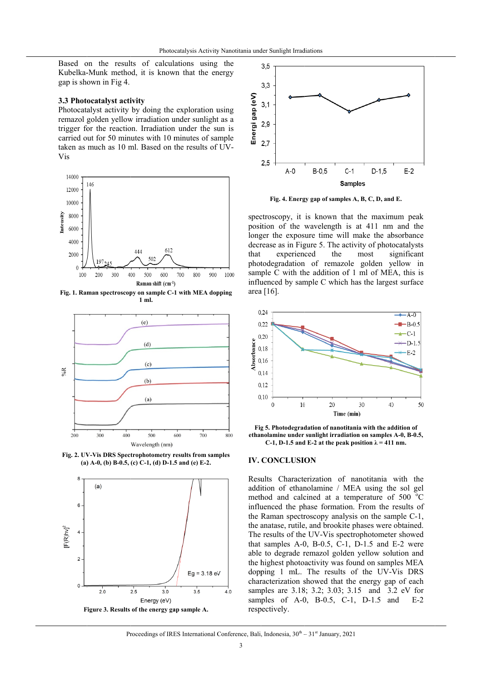Based on the results of calculations using the Kubelka-Munk method, it is known that the energy gap is shown in Fig 4.

#### 3.3 Photocatalyst activity

Photocatalyst activity by doing the exploration using remazol golden yellow irradiation under sunlight as a trigger for the reaction. Irradiation under the sun is carried out for 50 minutes with 10 minutes of sample taken as much as 10 ml. Based on the results of UV-Vis



Fig. 1. Raman spectroscopy on sample C-1 with MEA dopping  $1<sub>m</sub>$ 



Fig. 2. UV-Vis DRS Spectrophotometry results from samples (a) A-0, (b) B-0.5, (c) C-1, (d) D-1.5 and (e) E-2.





Fig. 4. Energy gap of samples A, B, C, D, and E.

spectroscopy, it is known that the maximum peak position of the wavelength is at 411 nm and the longer the exposure time will make the absorbance decrease as in Figure 5. The activity of photocatalysts that experienced the most significant photodegradation of remazole golden yellow in sample C with the addition of 1 ml of MEA, this is influenced by sample C which has the largest surface area [16].



Fig 5. Photodegradation of nanotitania with the addition of ethanolamine under sunlight irradiation on samples A-0, B-0.5, C-1, D-1.5 and E-2 at the peak position  $\lambda = 411$  nm.

#### **IV. CONCLUSION**

Results Characterization of nanotitania with the addition of ethanolamine / MEA using the sol gel method and calcined at a temperature of 500 °C influenced the phase formation. From the results of the Raman spectroscopy analysis on the sample C-1, the anatase, rutile, and brookite phases were obtained. The results of the UV-Vis spectrophotometer showed that samples A-0, B-0.5, C-1, D-1.5 and E-2 were able to degrade remazol golden yellow solution and the highest photoactivity was found on samples MEA dopping 1 mL. The results of the UV-Vis DRS characterization showed that the energy gap of each samples are 3.18; 3.2; 3.03; 3.15 and 3.2 eV for samples of A-0, B-0.5, C-1, D-1.5 and  $F-2$ respectively.

### Proceedings of IRES International Conference, Bali, Indonesia,  $30^{th} - 31^{st}$  January, 2021